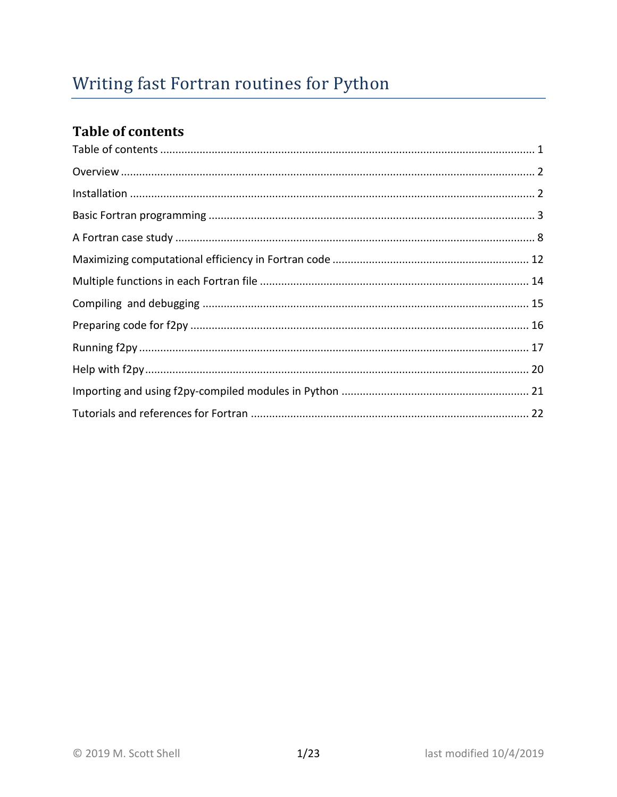# <span id="page-0-0"></span>**Table of contents**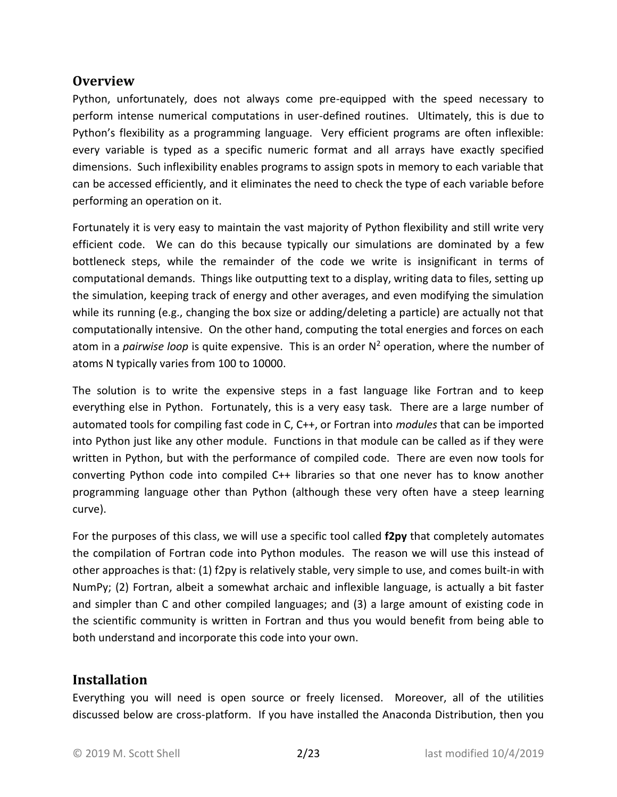#### <span id="page-1-0"></span>**Overview**

Python, unfortunately, does not always come pre-equipped with the speed necessary to perform intense numerical computations in user-defined routines. Ultimately, this is due to Python's flexibility as a programming language. Very efficient programs are often inflexible: every variable is typed as a specific numeric format and all arrays have exactly specified dimensions. Such inflexibility enables programs to assign spots in memory to each variable that can be accessed efficiently, and it eliminates the need to check the type of each variable before performing an operation on it.

Fortunately it is very easy to maintain the vast majority of Python flexibility and still write very efficient code. We can do this because typically our simulations are dominated by a few bottleneck steps, while the remainder of the code we write is insignificant in terms of computational demands. Things like outputting text to a display, writing data to files, setting up the simulation, keeping track of energy and other averages, and even modifying the simulation while its running (e.g., changing the box size or adding/deleting a particle) are actually not that computationally intensive. On the other hand, computing the total energies and forces on each atom in a *pairwise loop* is quite expensive. This is an order N<sup>2</sup> operation, where the number of atoms N typically varies from 100 to 10000.

The solution is to write the expensive steps in a fast language like Fortran and to keep everything else in Python. Fortunately, this is a very easy task. There are a large number of automated tools for compiling fast code in C, C++, or Fortran into *modules* that can be imported into Python just like any other module. Functions in that module can be called as if they were written in Python, but with the performance of compiled code. There are even now tools for converting Python code into compiled C++ libraries so that one never has to know another programming language other than Python (although these very often have a steep learning curve).

For the purposes of this class, we will use a specific tool called **f2py** that completely automates the compilation of Fortran code into Python modules. The reason we will use this instead of other approaches is that: (1) f2py is relatively stable, very simple to use, and comes built-in with NumPy; (2) Fortran, albeit a somewhat archaic and inflexible language, is actually a bit faster and simpler than C and other compiled languages; and (3) a large amount of existing code in the scientific community is written in Fortran and thus you would benefit from being able to both understand and incorporate this code into your own.

#### <span id="page-1-1"></span>**Installation**

Everything you will need is open source or freely licensed. Moreover, all of the utilities discussed below are cross-platform. If you have installed the Anaconda Distribution, then you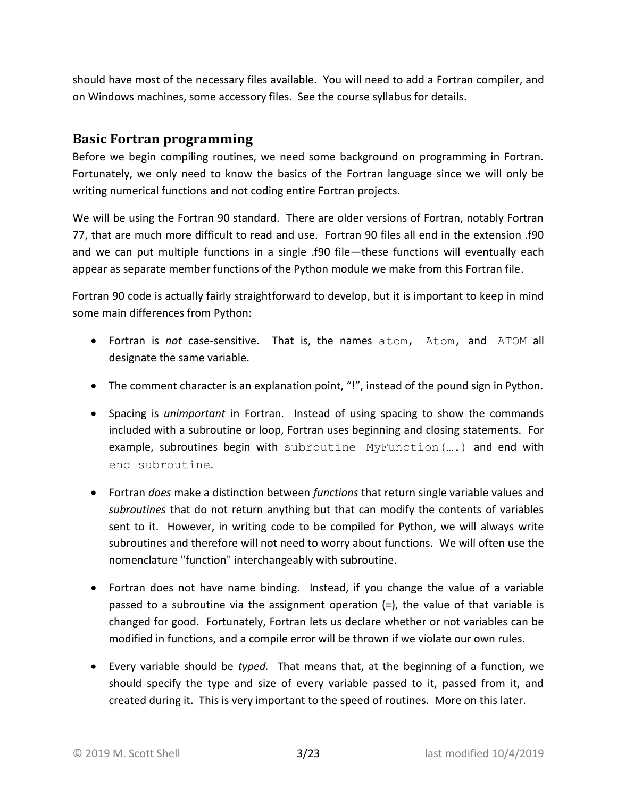should have most of the necessary files available. You will need to add a Fortran compiler, and on Windows machines, some accessory files. See the course syllabus for details.

#### <span id="page-2-0"></span>**Basic Fortran programming**

Before we begin compiling routines, we need some background on programming in Fortran. Fortunately, we only need to know the basics of the Fortran language since we will only be writing numerical functions and not coding entire Fortran projects.

We will be using the Fortran 90 standard. There are older versions of Fortran, notably Fortran 77, that are much more difficult to read and use. Fortran 90 files all end in the extension .f90 and we can put multiple functions in a single .f90 file—these functions will eventually each appear as separate member functions of the Python module we make from this Fortran file.

Fortran 90 code is actually fairly straightforward to develop, but it is important to keep in mind some main differences from Python:

- Fortran is *not* case-sensitive. That is, the names atom, Atom, and ATOM all designate the same variable.
- The comment character is an explanation point, "!", instead of the pound sign in Python.
- Spacing is *unimportant* in Fortran. Instead of using spacing to show the commands included with a subroutine or loop, Fortran uses beginning and closing statements. For example, subroutines begin with subroutine MyFunction(….) and end with end subroutine.
- Fortran *does* make a distinction between *functions* that return single variable values and *subroutines* that do not return anything but that can modify the contents of variables sent to it. However, in writing code to be compiled for Python, we will always write subroutines and therefore will not need to worry about functions. We will often use the nomenclature "function" interchangeably with subroutine.
- Fortran does not have name binding. Instead, if you change the value of a variable passed to a subroutine via the assignment operation (=), the value of that variable is changed for good. Fortunately, Fortran lets us declare whether or not variables can be modified in functions, and a compile error will be thrown if we violate our own rules.
- Every variable should be *typed.* That means that, at the beginning of a function, we should specify the type and size of every variable passed to it, passed from it, and created during it. This is very important to the speed of routines. More on this later.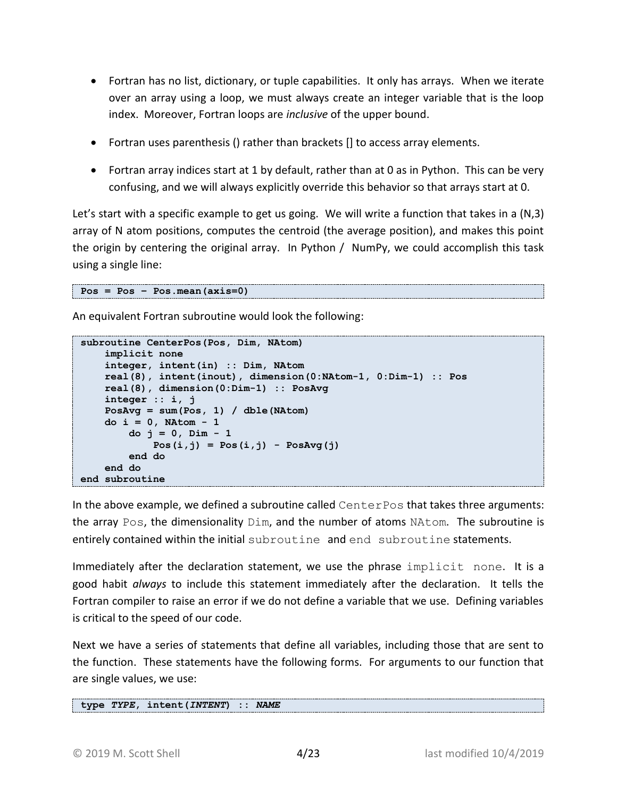- Fortran has no list, dictionary, or tuple capabilities. It only has arrays. When we iterate over an array using a loop, we must always create an integer variable that is the loop index. Moreover, Fortran loops are *inclusive* of the upper bound.
- Fortran uses parenthesis () rather than brackets [] to access array elements.
- Fortran array indices start at 1 by default, rather than at 0 as in Python. This can be very confusing, and we will always explicitly override this behavior so that arrays start at 0.

Let's start with a specific example to get us going. We will write a function that takes in a (N,3) array of N atom positions, computes the centroid (the average position), and makes this point the origin by centering the original array. In Python / NumPy, we could accomplish this task using a single line:

```
Pos = Pos – Pos.mean(axis=0)
```
An equivalent Fortran subroutine would look the following:

```
subroutine CenterPos(Pos, Dim, NAtom)
     implicit none
     integer, intent(in) :: Dim, NAtom
     real(8), intent(inout), dimension(0:NAtom-1, 0:Dim-1) :: Pos
     real(8), dimension(0:Dim-1) :: PosAvg
     integer :: i, j
     PosAvg = sum(Pos, 1) / dble(NAtom)
     do i = 0, NAtom - 1
         do j = 0, Dim - 1
            Pos(i,j) = Pos(i,j) - Pos(i) end do
     end do
end subroutine
```
In the above example, we defined a subroutine called CenterPos that takes three arguments: the array Pos, the dimensionality  $Dim$ , and the number of atoms NAtom. The subroutine is entirely contained within the initial subroutine and end subroutine statements.

Immediately after the declaration statement, we use the phrase implicit none. It is a good habit *always* to include this statement immediately after the declaration. It tells the Fortran compiler to raise an error if we do not define a variable that we use. Defining variables is critical to the speed of our code.

Next we have a series of statements that define all variables, including those that are sent to the function. These statements have the following forms. For arguments to our function that are single values, we use:

```
type TYPE, intent(INTENT) :: NAME
```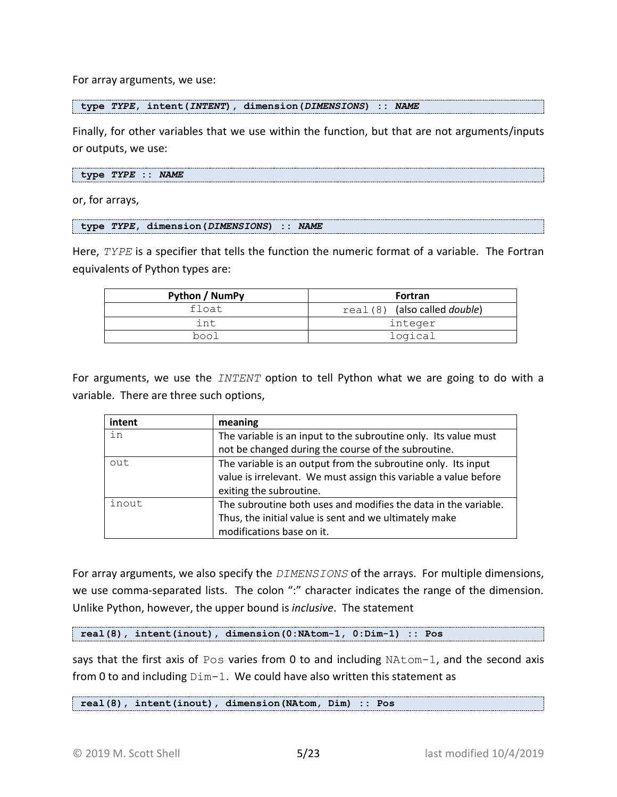For array arguments, we use:

**type** *TYPE***, intent(***INTENT***), dimension(***DIMENSIONS***) ::** *NAME*

Finally, for other variables that we use within the function, but that are not arguments/inputs or outputs, we use:

**type** *TYPE* **::** *NAME*

or, for arrays,

**type** *TYPE***, dimension(***DIMENSIONS***) ::** *NAME*

Here, *TYPE* is a specifier that tells the function the numeric format of a variable. The Fortran equivalents of Python types are:

| Python / NumPy | Fortran                               |
|----------------|---------------------------------------|
| float          | real (8) (also called <i>double</i> ) |
| int            | integer                               |
| bool           | logical                               |

For arguments, we use the *INTENT* option to tell Python what we are going to do with a variable. There are three such options,

| intent | meaning                                                          |
|--------|------------------------------------------------------------------|
| in     | The variable is an input to the subroutine only. Its value must  |
|        | not be changed during the course of the subroutine.              |
| out    | The variable is an output from the subroutine only. Its input    |
|        | value is irrelevant. We must assign this variable a value before |
|        | exiting the subroutine.                                          |
| inout  | The subroutine both uses and modifies the data in the variable.  |
|        | Thus, the initial value is sent and we ultimately make           |
|        | modifications base on it.                                        |

For array arguments, we also specify the *DIMENSIONS* of the arrays. For multiple dimensions, we use comma-separated lists. The colon ":" character indicates the range of the dimension. Unlike Python, however, the upper bound is *inclusive*. The statement

**real(8), intent(inout), dimension(0:NAtom-1, 0:Dim-1) :: Pos**

says that the first axis of Pos varies from 0 to and including NAtom-1, and the second axis from 0 to and including  $Dim-1$ . We could have also written this statement as

**real(8), intent(inout), dimension(NAtom, Dim) :: Pos**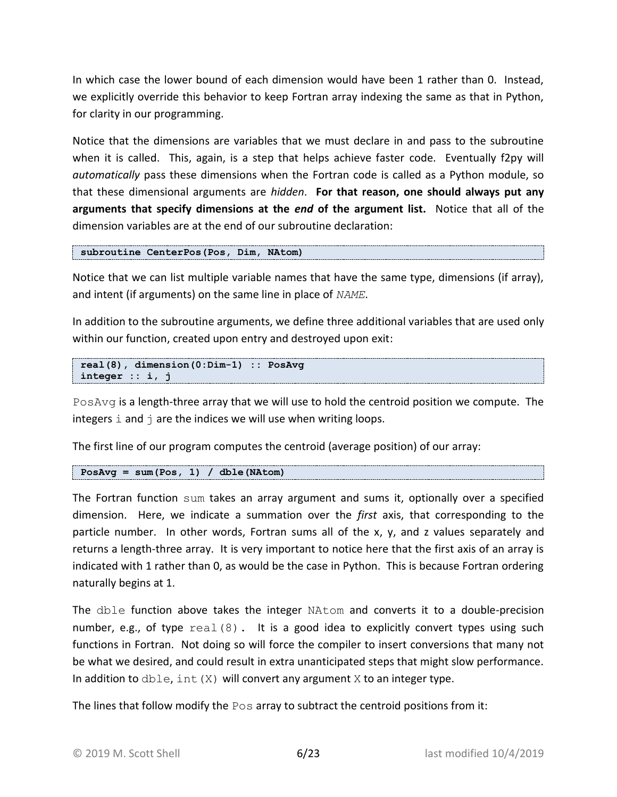In which case the lower bound of each dimension would have been 1 rather than 0. Instead, we explicitly override this behavior to keep Fortran array indexing the same as that in Python, for clarity in our programming.

Notice that the dimensions are variables that we must declare in and pass to the subroutine when it is called. This, again, is a step that helps achieve faster code. Eventually f2py will *automatically* pass these dimensions when the Fortran code is called as a Python module, so that these dimensional arguments are *hidden*. **For that reason, one should always put any arguments that specify dimensions at the** *end* **of the argument list.** Notice that all of the dimension variables are at the end of our subroutine declaration:

**subroutine CenterPos(Pos, Dim, NAtom)**

Notice that we can list multiple variable names that have the same type, dimensions (if array), and intent (if arguments) on the same line in place of *NAME*.

In addition to the subroutine arguments, we define three additional variables that are used only within our function, created upon entry and destroyed upon exit:

```
real(8), dimension(0:Dim-1) :: PosAvg
integer :: i, j
```
PosAvg is a length-three array that we will use to hold the centroid position we compute. The integers  $\pm$  and  $\pm$  are the indices we will use when writing loops.

The first line of our program computes the centroid (average position) of our array:

```
PosAvg = sum(Pos, 1) / dble(NAtom)
```
The Fortran function sum takes an array argument and sums it, optionally over a specified dimension. Here, we indicate a summation over the *first* axis, that corresponding to the particle number. In other words, Fortran sums all of the x, y, and z values separately and returns a length-three array. It is very important to notice here that the first axis of an array is indicated with 1 rather than 0, as would be the case in Python. This is because Fortran ordering naturally begins at 1.

The dble function above takes the integer NAtom and converts it to a double-precision number, e.g., of type  $real(8)$ . It is a good idea to explicitly convert types using such functions in Fortran. Not doing so will force the compiler to insert conversions that many not be what we desired, and could result in extra unanticipated steps that might slow performance. In addition to  $dble, int(X)$  will convert any argument X to an integer type.

The lines that follow modify the  $P \circ s$  array to subtract the centroid positions from it: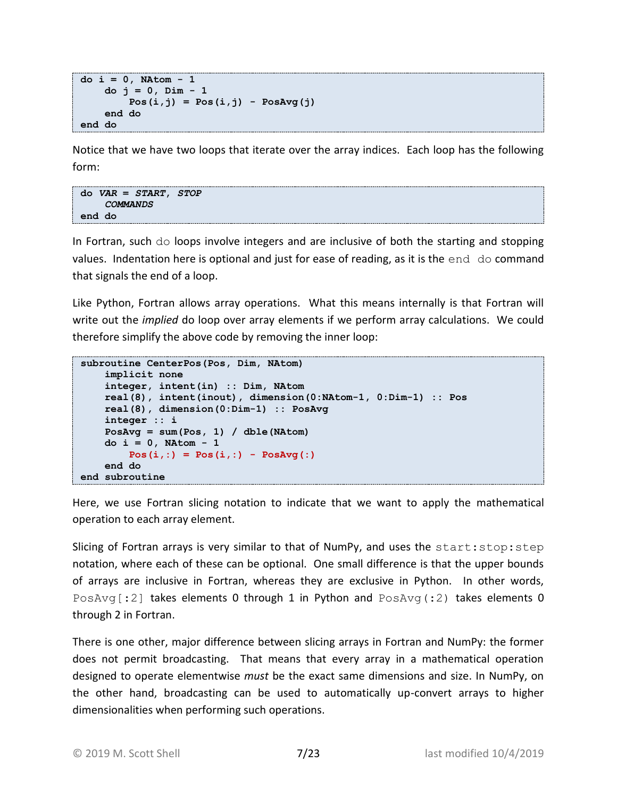```
do i = 0, NAtom - 1
     do j = 0, Dim - 1
        Pos(i,j) = Pos(i,j) - Pos(i) end do
end do
```
Notice that we have two loops that iterate over the array indices. Each loop has the following form:

```
do VAR = START, STOP
     COMMANDS
end do
```
In Fortran, such do loops involve integers and are inclusive of both the starting and stopping values. Indentation here is optional and just for ease of reading, as it is the end do command that signals the end of a loop.

Like Python, Fortran allows array operations. What this means internally is that Fortran will write out the *implied* do loop over array elements if we perform array calculations. We could therefore simplify the above code by removing the inner loop:

```
subroutine CenterPos(Pos, Dim, NAtom)
     implicit none
     integer, intent(in) :: Dim, NAtom
     real(8), intent(inout), dimension(0:NAtom-1, 0:Dim-1) :: Pos
     real(8), dimension(0:Dim-1) :: PosAvg
     integer :: i
     PosAvg = sum(Pos, 1) / dble(NAtom)
     do i = 0, NAtom - 1
         Pos(i,:) = Pos(i,:) - PosAvg(:)
     end do
end subroutine
```
Here, we use Fortran slicing notation to indicate that we want to apply the mathematical operation to each array element.

Slicing of Fortran arrays is very similar to that of NumPy, and uses the start: stop: step notation, where each of these can be optional. One small difference is that the upper bounds of arrays are inclusive in Fortran, whereas they are exclusive in Python. In other words, PosAvg $[:2]$  takes elements 0 through 1 in Python and PosAvg $(:2)$  takes elements 0 through 2 in Fortran.

There is one other, major difference between slicing arrays in Fortran and NumPy: the former does not permit broadcasting. That means that every array in a mathematical operation designed to operate elementwise *must* be the exact same dimensions and size. In NumPy, on the other hand, broadcasting can be used to automatically up-convert arrays to higher dimensionalities when performing such operations.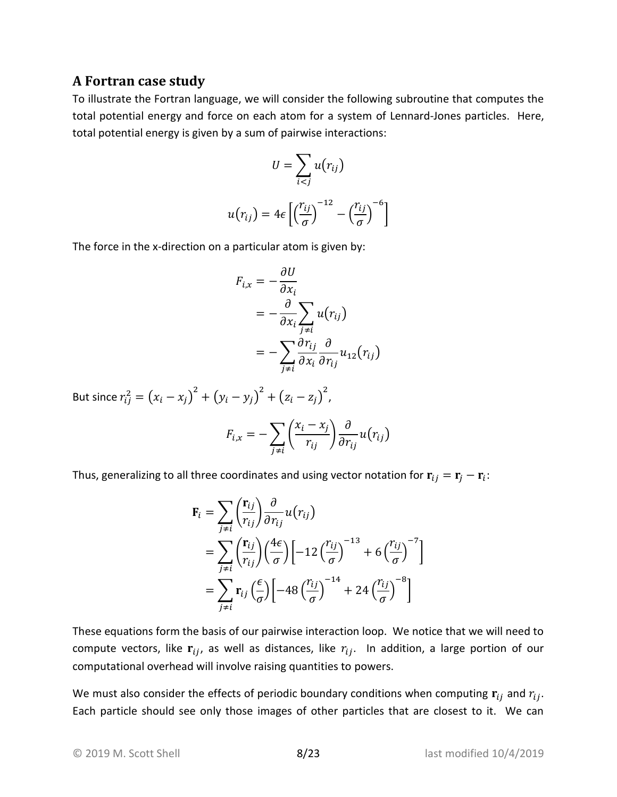#### <span id="page-7-0"></span>**A Fortran case study**

To illustrate the Fortran language, we will consider the following subroutine that computes the total potential energy and force on each atom for a system of Lennard-Jones particles. Here, total potential energy is given by a sum of pairwise interactions:

$$
U = \sum_{i < j} u(r_{ij})
$$
\n
$$
u(r_{ij}) = 4\epsilon \left[ \left( \frac{r_{ij}}{\sigma} \right)^{-12} - \left( \frac{r_{ij}}{\sigma} \right)^{-6} \right]
$$

The force in the x-direction on a particular atom is given by:

$$
F_{i,x} = -\frac{\partial U}{\partial x_i}
$$
  
=  $-\frac{\partial}{\partial x_i} \sum_{j \neq i} u(r_{ij})$   
=  $-\sum_{j \neq i} \frac{\partial r_{ij}}{\partial x_i} \frac{\partial}{\partial r_{ij}} u_{12}(r_{ij})$ 

But since  $r_{ij}^2 = (x_i - x_j)^2 + (y_i - y_j)^2 + (z_i - z_j)^2$ ,

$$
F_{i,x} = -\sum_{j \neq i} \left( \frac{x_i - x_j}{r_{ij}} \right) \frac{\partial}{\partial r_{ij}} u(r_{ij})
$$

Thus, generalizing to all three coordinates and using vector notation for  ${\bf r}_{ij}={\bf r}_j-{\bf r}_i$ :

$$
\mathbf{F}_{i} = \sum_{j \neq i} \left( \frac{\mathbf{r}_{ij}}{r_{ij}} \right) \frac{\partial}{\partial r_{ij}} u(r_{ij})
$$
  
= 
$$
\sum_{j \neq i} \left( \frac{\mathbf{r}_{ij}}{r_{ij}} \right) \left( \frac{4\epsilon}{\sigma} \right) \left[ -12 \left( \frac{r_{ij}}{\sigma} \right)^{-13} + 6 \left( \frac{r_{ij}}{\sigma} \right)^{-7} \right]
$$
  
= 
$$
\sum_{j \neq i} \mathbf{r}_{ij} \left( \frac{\epsilon}{\sigma} \right) \left[ -48 \left( \frac{r_{ij}}{\sigma} \right)^{-14} + 24 \left( \frac{r_{ij}}{\sigma} \right)^{-8} \right]
$$

These equations form the basis of our pairwise interaction loop. We notice that we will need to compute vectors, like  $r_{ij}$ , as well as distances, like  $r_{ij}$ . In addition, a large portion of our computational overhead will involve raising quantities to powers.

We must also consider the effects of periodic boundary conditions when computing  ${\bf r}_{ij}$  and  $r_{ij}$ . Each particle should see only those images of other particles that are closest to it. We can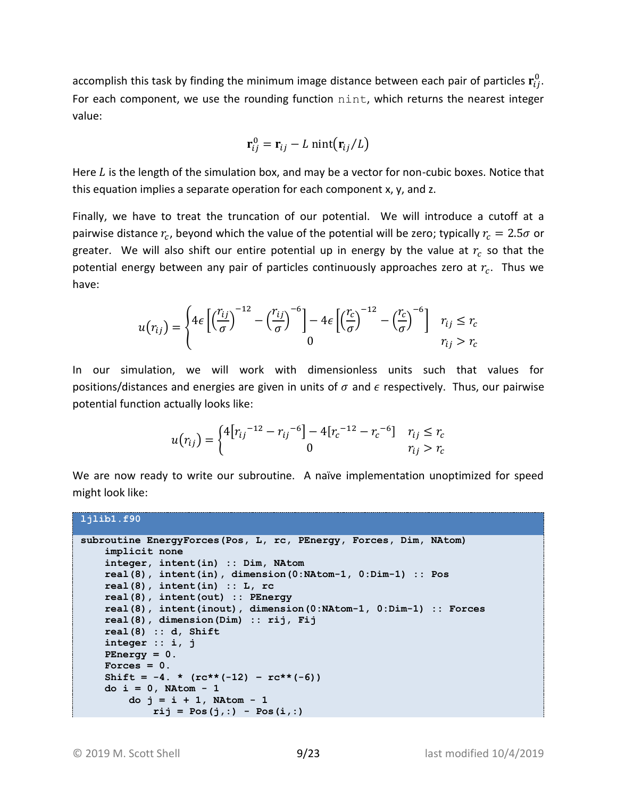accomplish this task by finding the minimum image distance between each pair of particles  $\mathbf{r}_{ij}^0$ . For each component, we use the rounding function nint, which returns the nearest integer value:

$$
\mathbf{r}_{ij}^0 = \mathbf{r}_{ij} - L \text{ nint}(\mathbf{r}_{ij}/L)
$$

Here  *is the length of the simulation box, and may be a vector for non-cubic boxes. Notice that* this equation implies a separate operation for each component x, y, and z.

Finally, we have to treat the truncation of our potential. We will introduce a cutoff at a pairwise distance  $r_c$ , beyond which the value of the potential will be zero; typically  $r_c = 2.5\sigma$  or greater. We will also shift our entire potential up in energy by the value at  $r_c$  so that the potential energy between any pair of particles continuously approaches zero at  $r_c$ . Thus we have:

$$
u(r_{ij}) = \begin{cases} 4\epsilon \left[ \left(\frac{r_{ij}}{\sigma}\right)^{-12} - \left(\frac{r_{ij}}{\sigma}\right)^{-6} \right] - 4\epsilon \left[ \left(\frac{r_c}{\sigma}\right)^{-12} - \left(\frac{r_c}{\sigma}\right)^{-6} \right] & r_{ij} \le r_c \\ 0 & r_{ij} > r_c \end{cases}
$$

In our simulation, we will work with dimensionless units such that values for positions/distances and energies are given in units of  $\sigma$  and  $\epsilon$  respectively. Thus, our pairwise potential function actually looks like:

$$
u(r_{ij}) = \begin{cases} 4[r_{ij}]^{-12} - r_{ij}^{-6} - 4[r_c^{-12} - r_c^{-6}] & r_{ij} \le r_c \\ 0 & r_{ij} > r_c \end{cases}
$$

We are now ready to write our subroutine. A naïve implementation unoptimized for speed might look like:

```
ljlib1.f90
```

```
subroutine EnergyForces(Pos, L, rc, PEnergy, Forces, Dim, NAtom)
     implicit none
     integer, intent(in) :: Dim, NAtom
    real(8), intent(in), dimension(0:NAtom-1, 0:Dim-1) :: Pos
     real(8), intent(in) :: L, rc
     real(8), intent(out) :: PEnergy
     real(8), intent(inout), dimension(0:NAtom-1, 0:Dim-1) :: Forces
     real(8), dimension(Dim) :: rij, Fij
     real(8) :: d, Shift
     integer :: i, j
    \text{PEnergy} = 0.\textbf{Forces} = 0.
    Shift = -4. * (rc**(-12) - rc**(-6)) do i = 0, NAtom - 1
        do j = i + 1, NAtom - 1
             rij = Pos(j,:) - Pos(i,:)
```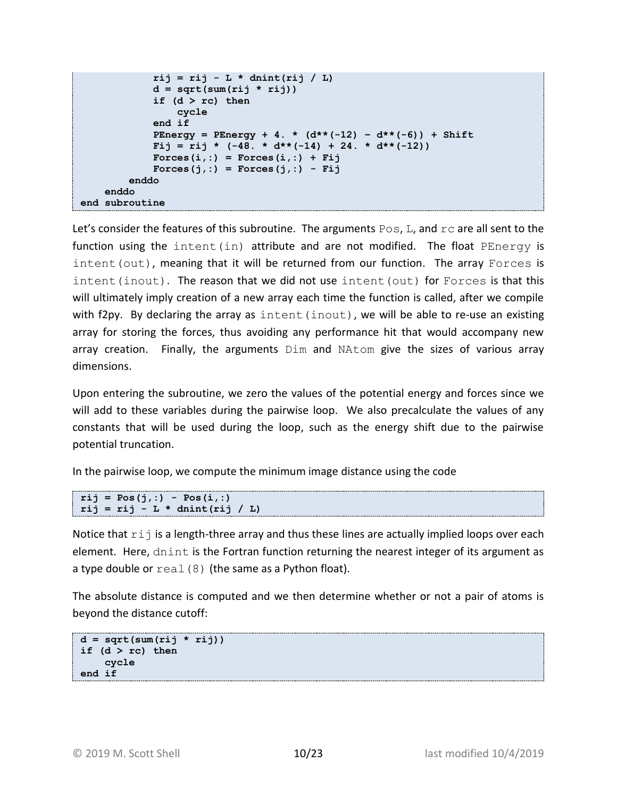```
 rij = rij - L * dnint(rij / L)
               d = sqrt(sum(rij * rij))
               if (d > rc) then
                   cycle
               end if
              PEnergy = PEnergy + 4. * (d**(-12) – d**(-6)) + Shift
             \text{Fij} = \text{rij} * (-48. * d**(-14) + 24. * d**(-12))\text{Process}(i,:) = \text{Forces}(i,:) + \text{Fi} Forces(j,:) = Forces(j,:) - Fij
          enddo
     enddo
end subroutine
```
Let's consider the features of this subroutine. The arguments  $Pos$ , L, and  $rc$  are all sent to the function using the intent(in) attribute and are not modified. The float PEnergy is intent (out), meaning that it will be returned from our function. The array Forces is intent(inout). The reason that we did not use intent (out) for Forces is that this will ultimately imply creation of a new array each time the function is called, after we compile with f2py. By declaring the array as  $intent(int)$ , we will be able to re-use an existing array for storing the forces, thus avoiding any performance hit that would accompany new array creation. Finally, the arguments Dim and NAtom give the sizes of various array dimensions.

Upon entering the subroutine, we zero the values of the potential energy and forces since we will add to these variables during the pairwise loop. We also precalculate the values of any constants that will be used during the loop, such as the energy shift due to the pairwise potential truncation.

In the pairwise loop, we compute the minimum image distance using the code

```
rij = Pos(j,:) - Pos(i,:)
rij = rij - L * dnint(rij / L)
```
Notice that  $r \text{ in } i$  is a length-three array and thus these lines are actually implied loops over each element. Here, dnint is the Fortran function returning the nearest integer of its argument as a type double or  $real(8)$  (the same as a Python float).

The absolute distance is computed and we then determine whether or not a pair of atoms is beyond the distance cutoff:

```
d = sqrt(sum(rij * rij))if (d > rc) then
     cycle
end if
```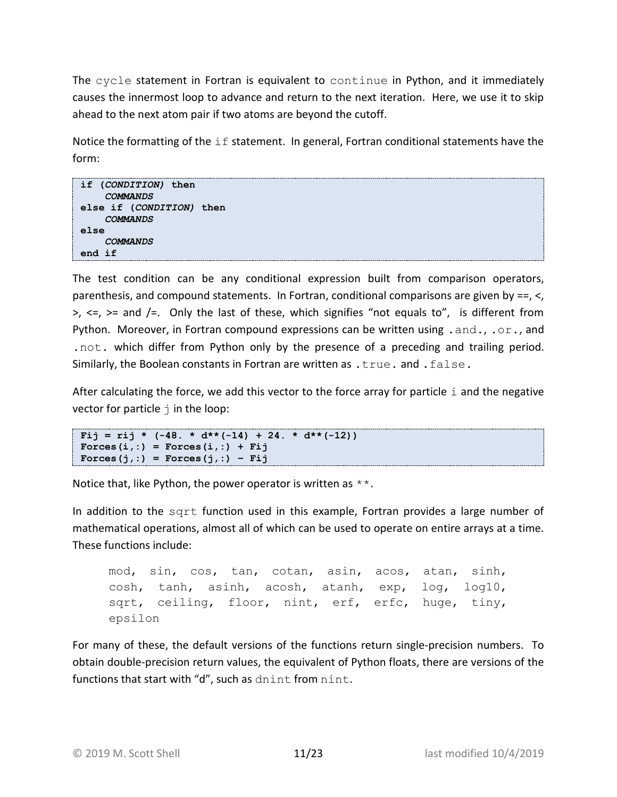The cycle statement in Fortran is equivalent to continue in Python, and it immediately causes the innermost loop to advance and return to the next iteration. Here, we use it to skip ahead to the next atom pair if two atoms are beyond the cutoff.

Notice the formatting of the  $if$  statement. In general, Fortran conditional statements have the form:

```
if (CONDITION) then
     COMMANDS
else if (CONDITION) then
     COMMANDS
else
     COMMANDS
end if
```
The test condition can be any conditional expression built from comparison operators, parenthesis, and compound statements. In Fortran, conditional comparisons are given by ==, <,  $>$ ,  $\leq$ ,  $>$ = and  $\leq$ . Only the last of these, which signifies "not equals to", is different from Python. Moreover, in Fortran compound expressions can be written using . and., . or., and .not. which differ from Python only by the presence of a preceding and trailing period. Similarly, the Boolean constants in Fortran are written as .true. and .false.

After calculating the force, we add this vector to the force array for particle  $\pm$  and the negative vector for particle  $\frac{1}{1}$  in the loop:

```
\text{Fi} = \text{ri} \cdot \star (-48. \star \text{d} \cdot \star (-14) + 24. \star \text{d} \cdot \star (-12))\text{Process}(i,:) = \text{Forces}(i,:) + \text{Fi}Forces(j,:) = Forces(j,:) – Fij
```
Notice that, like Python, the power operator is written as  $**$ .

In addition to the sqrt function used in this example, Fortran provides a large number of mathematical operations, almost all of which can be used to operate on entire arrays at a time. These functions include:

```
mod, sin, cos, tan, cotan, asin, acos, atan, sinh, 
cosh, tanh, asinh, acosh, atanh, exp, log, log10, 
sqrt, ceiling, floor, nint, erf, erfc, huge, tiny,
epsilon
```
For many of these, the default versions of the functions return single-precision numbers. To obtain double-precision return values, the equivalent of Python floats, there are versions of the functions that start with "d", such as dnint from nint.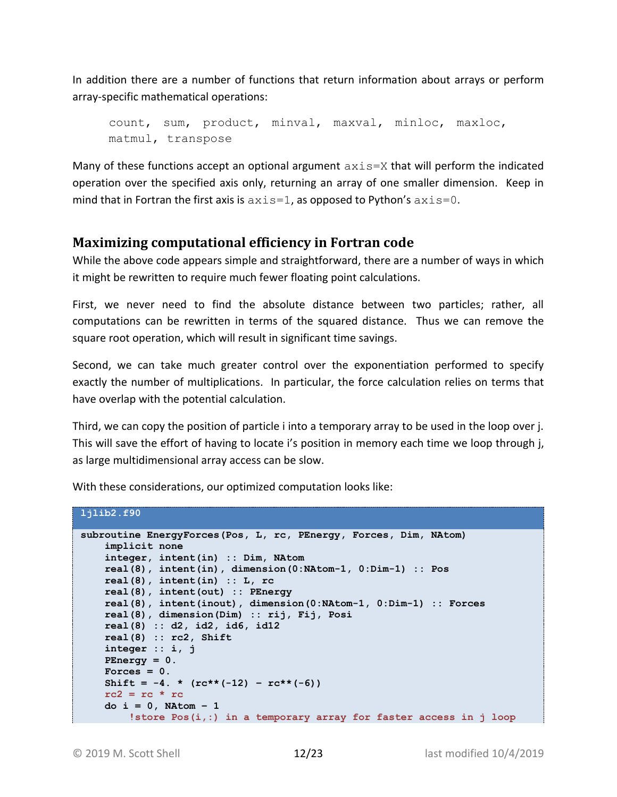In addition there are a number of functions that return information about arrays or perform array-specific mathematical operations:

```
count, sum, product, minval, maxval, minloc, maxloc, 
matmul, transpose
```
Many of these functions accept an optional argument  $axis=X$  that will perform the indicated operation over the specified axis only, returning an array of one smaller dimension. Keep in mind that in Fortran the first axis is  $axis=1$ , as opposed to Python's  $axis=0$ .

## <span id="page-11-0"></span>**Maximizing computational efficiency in Fortran code**

While the above code appears simple and straightforward, there are a number of ways in which it might be rewritten to require much fewer floating point calculations.

First, we never need to find the absolute distance between two particles; rather, all computations can be rewritten in terms of the squared distance. Thus we can remove the square root operation, which will result in significant time savings.

Second, we can take much greater control over the exponentiation performed to specify exactly the number of multiplications. In particular, the force calculation relies on terms that have overlap with the potential calculation.

Third, we can copy the position of particle i into a temporary array to be used in the loop over j. This will save the effort of having to locate i's position in memory each time we loop through j, as large multidimensional array access can be slow.

With these considerations, our optimized computation looks like:

```
ljlib2.f90
```

```
subroutine EnergyForces(Pos, L, rc, PEnergy, Forces, Dim, NAtom)
     implicit none
    integer, intent(in) :: Dim, NAtom
    real(8), intent(in), dimension(0:NAtom-1, 0:Dim-1) :: Pos
    real(8), intent(in) :: L, rc
    real(8), intent(out) :: PEnergy
    real(8), intent(inout), dimension(0:NAtom-1, 0:Dim-1) :: Forces
    real(8), dimension(Dim) :: rij, Fij, Posi
    real(8) :: d2, id2, id6, id12
    real(8) :: rc2, Shift
    integer :: i, j
    PEnergy = 0.
   Forces = 0.
    Shift = -4. * (rc**(-12) - rc**(-6))rc2 = rc * rc do i = 0, NAtom – 1
         !store Pos(i,:) in a temporary array for faster access in j loop
```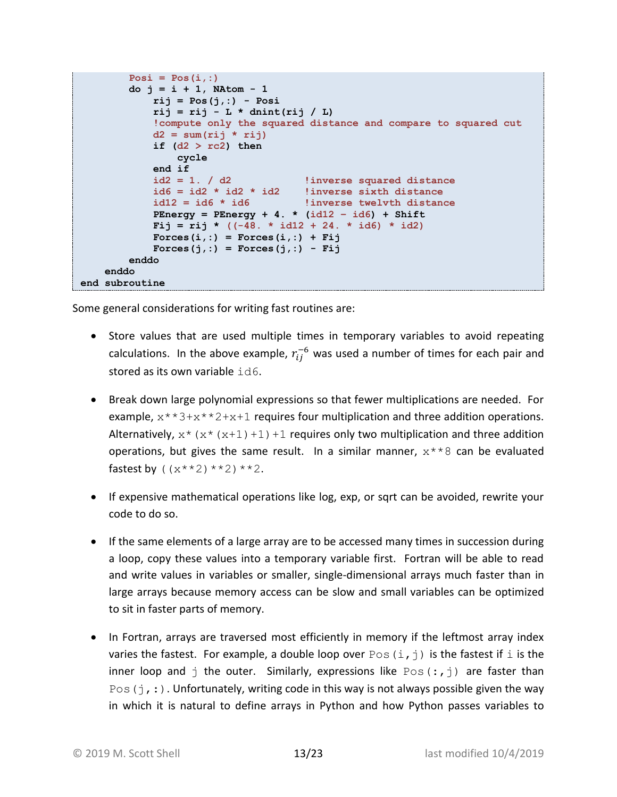```
\text{Posi} = \text{Pos}(i,:) do j = i + 1, NAtom - 1
              rij = Pos(j,:) - Posi
             rij = rij - L * dnint(rij / L)
             !compute only the squared distance and compare to squared cut
             d2 = sum(rij * rij)
             if (d2 > rc2) then
                  cycle
              end if
              id2 = 1. / d2 !inverse squared distance
             id6 = id2 * id2 * id2 !inverse sixth distance
              id12 = id6 * id6 !inverse twelvth distance
            PEnergy = PEnergy + 4. * (idl2 - id6) + Shift\text{Fij} = \text{rij} * ((-48. * id12 + 24. * id6) * id2)\text{Process}(i,:) = \text{Forces}(i,:) + \text{Fi} Forces(j,:) = Forces(j,:) - Fij
         enddo
     enddo
end subroutine
```
Some general considerations for writing fast routines are:

- Store values that are used multiple times in temporary variables to avoid repeating calculations. In the above example,  $r_{ij}^{-6}$  was used a number of times for each pair and stored as its own variable id6.
- Break down large polynomial expressions so that fewer multiplications are needed. For example,  $x^*3+x^*2+x+1$  requires four multiplication and three addition operations. Alternatively,  $x^*(x^*(x+1)+1)+1$  requires only two multiplication and three addition operations, but gives the same result. In a similar manner,  $x**8$  can be evaluated fastest by  $((x**2)**2)**2$ .
- If expensive mathematical operations like log, exp, or sqrt can be avoided, rewrite your code to do so.
- If the same elements of a large array are to be accessed many times in succession during a loop, copy these values into a temporary variable first. Fortran will be able to read and write values in variables or smaller, single-dimensional arrays much faster than in large arrays because memory access can be slow and small variables can be optimized to sit in faster parts of memory.
- In Fortran, arrays are traversed most efficiently in memory if the leftmost array index varies the fastest. For example, a double loop over  $Pos(i, j)$  is the fastest if i is the inner loop and j the outer. Similarly, expressions like  $Pos(:,j)$  are faster than  $Pos(j,:)$ . Unfortunately, writing code in this way is not always possible given the way in which it is natural to define arrays in Python and how Python passes variables to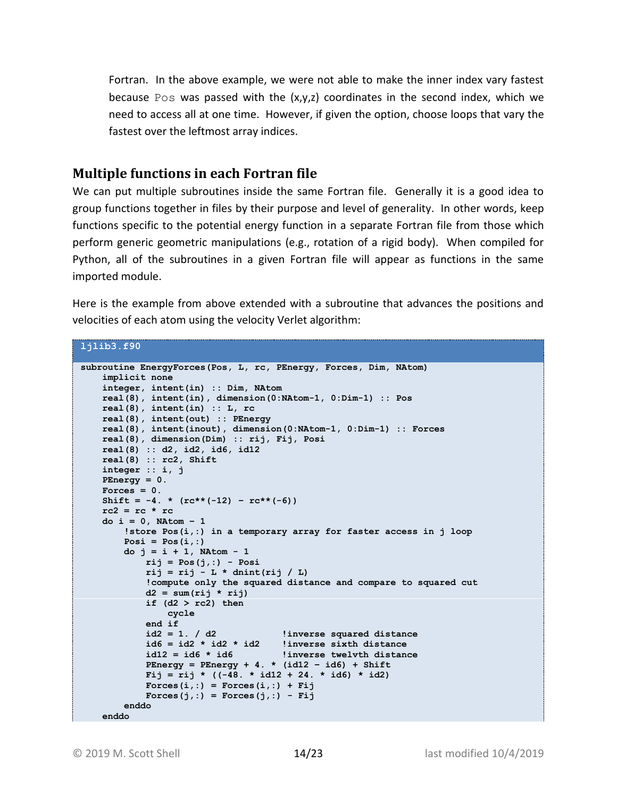Fortran. In the above example, we were not able to make the inner index vary fastest because Pos was passed with the  $(x,y,z)$  coordinates in the second index, which we need to access all at one time. However, if given the option, choose loops that vary the fastest over the leftmost array indices.

### <span id="page-13-0"></span>**Multiple functions in each Fortran file**

We can put multiple subroutines inside the same Fortran file. Generally it is a good idea to group functions together in files by their purpose and level of generality. In other words, keep functions specific to the potential energy function in a separate Fortran file from those which perform generic geometric manipulations (e.g., rotation of a rigid body). When compiled for Python, all of the subroutines in a given Fortran file will appear as functions in the same imported module.

Here is the example from above extended with a subroutine that advances the positions and velocities of each atom using the velocity Verlet algorithm:

#### **ljlib3.f90**

```
subroutine EnergyForces(Pos, L, rc, PEnergy, Forces, Dim, NAtom)
    implicit none
    integer, intent(in) :: Dim, NAtom
    real(8), intent(in), dimension(0:NAtom-1, 0:Dim-1) :: Pos
     real(8), intent(in) :: L, rc
    real(8), intent(out) :: PEnergy
    real(8), intent(inout), dimension(0:NAtom-1, 0:Dim-1) :: Forces
    real(8), dimension(Dim) :: rij, Fij, Posi
    real(8) :: d2, id2, id6, id12
    real(8) :: rc2, Shift
    integer :: i, j
    PEnergy = 0.
    Forces = 0.
   Shift = -4. * (rc**(-12) - rc**(-6))rc2 = rc * rc do i = 0, NAtom – 1
         !store Pos(i,:) in a temporary array for faster access in j loop
        \text{Posi} = \text{Pos}(i,:) do j = i + 1, NAtom - 1
             rij = Pos(j,:) - Posi
             rij = rij - L * dnint(rij / L)
             !compute only the squared distance and compare to squared cut
             d2 = sum(rij * rij)
            if (d2 > rc2) then
                 cycle
             end if
 id2 = 1. / d2 !inverse squared distance
 id6 = id2 * id2 * id2 !inverse sixth distance
             id12 = id6 * id6 !inverse twelvth distance
 PEnergy = PEnergy + 4. * (id12 – id6) + Shift
 Fij = rij * ((-48. * id12 + 24. * id6) * id2)
            \text{Process}(i,:) = \text{Forces}(i,:) + \text{Fi}\text{Forces}(j,:) = \text{Forces}(j,:) - \text{Fi} enddo
     enddo
```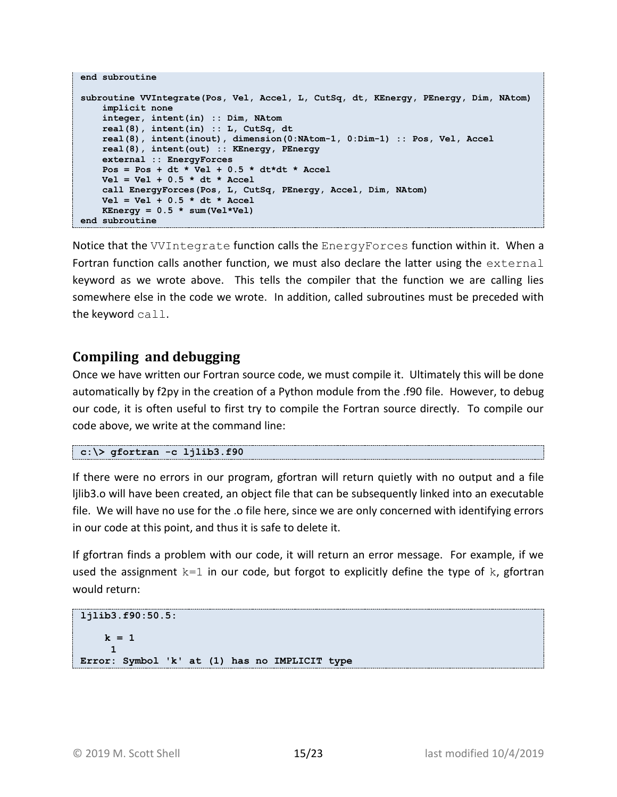```
end subroutine
subroutine VVIntegrate(Pos, Vel, Accel, L, CutSq, dt, KEnergy, PEnergy, Dim, NAtom)
    implicit none
    integer, intent(in) :: Dim, NAtom
    real(8), intent(in) :: L, CutSq, dt
    real(8), intent(inout), dimension(0:NAtom-1, 0:Dim-1) :: Pos, Vel, Accel
    real(8), intent(out) :: KEnergy, PEnergy
    external :: EnergyForces
     Pos = Pos + dt * Vel + 0.5 * dt*dt * Accel
    Vel = Vel + 0.5 * dt * Accel
     call EnergyForces(Pos, L, CutSq, PEnergy, Accel, Dim, NAtom)
    Vel = Vel + 0.5 * dt * Accel
   KEnergy = 0.5 * sum(Vel*Vel)end subroutine
```
Notice that the VVIntegrate function calls the EnergyForces function within it. When a Fortran function calls another function, we must also declare the latter using the external keyword as we wrote above. This tells the compiler that the function we are calling lies somewhere else in the code we wrote. In addition, called subroutines must be preceded with the keyword call.

#### <span id="page-14-0"></span>**Compiling and debugging**

Once we have written our Fortran source code, we must compile it. Ultimately this will be done automatically by f2py in the creation of a Python module from the .f90 file. However, to debug our code, it is often useful to first try to compile the Fortran source directly. To compile our code above, we write at the command line:

```
c:\> gfortran -c ljlib3.f90
```
If there were no errors in our program, gfortran will return quietly with no output and a file ljlib3.o will have been created, an object file that can be subsequently linked into an executable file. We will have no use for the .o file here, since we are only concerned with identifying errors in our code at this point, and thus it is safe to delete it.

If gfortran finds a problem with our code, it will return an error message. For example, if we used the assignment  $k=1$  in our code, but forgot to explicitly define the type of k, gfortran would return:

```
ljlib3.f90:50.5:
   k = 1 1
Error: Symbol 'k' at (1) has no IMPLICIT type
```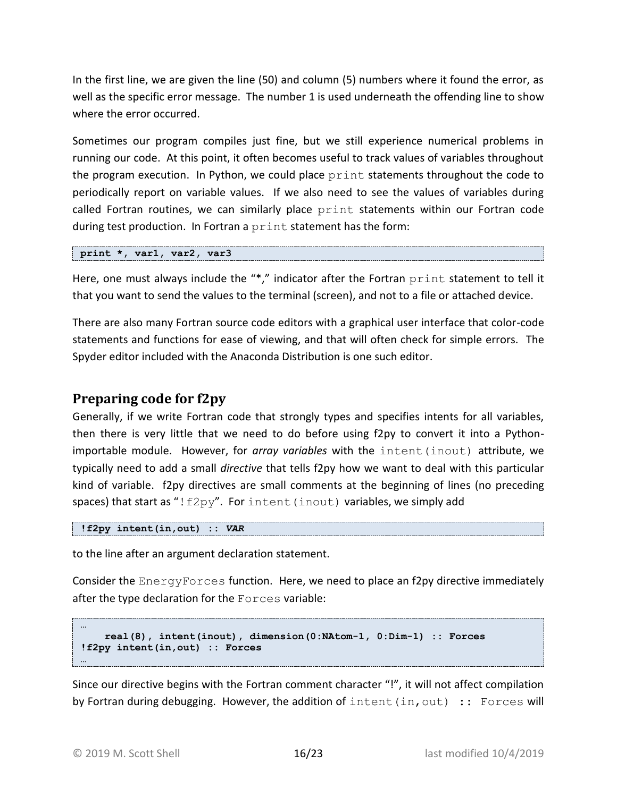In the first line, we are given the line (50) and column (5) numbers where it found the error, as well as the specific error message. The number 1 is used underneath the offending line to show where the error occurred.

Sometimes our program compiles just fine, but we still experience numerical problems in running our code. At this point, it often becomes useful to track values of variables throughout the program execution. In Python, we could place print statements throughout the code to periodically report on variable values. If we also need to see the values of variables during called Fortran routines, we can similarly place print statements within our Fortran code during test production. In Fortran a print statement has the form:

**print \*, var1, var2, var3**

Here, one must always include the "\*," indicator after the Fortran print statement to tell it that you want to send the values to the terminal (screen), and not to a file or attached device.

There are also many Fortran source code editors with a graphical user interface that color-code statements and functions for ease of viewing, and that will often check for simple errors. The Spyder editor included with the Anaconda Distribution is one such editor.

#### <span id="page-15-0"></span>**Preparing code for f2py**

Generally, if we write Fortran code that strongly types and specifies intents for all variables, then there is very little that we need to do before using f2py to convert it into a Pythonimportable module. However, for *array variables* with the intent(inout) attribute, we typically need to add a small *directive* that tells f2py how we want to deal with this particular kind of variable. f2py directives are small comments at the beginning of lines (no preceding spaces) that start as "! $f2py"$ . For intent (inout) variables, we simply add

**!f2py intent(in,out) ::** *VAR*

to the line after an argument declaration statement.

Consider the EnergyForces function. Here, we need to place an f2py directive immediately after the type declaration for the Forces variable:

```
 real(8), intent(inout), dimension(0:NAtom-1, 0:Dim-1) :: Forces
!f2py intent(in,out) :: Forces
…
```
Since our directive begins with the Fortran comment character "!", it will not affect compilation by Fortran during debugging. However, the addition of intent  $(in, out)$  :: Forces will

**…**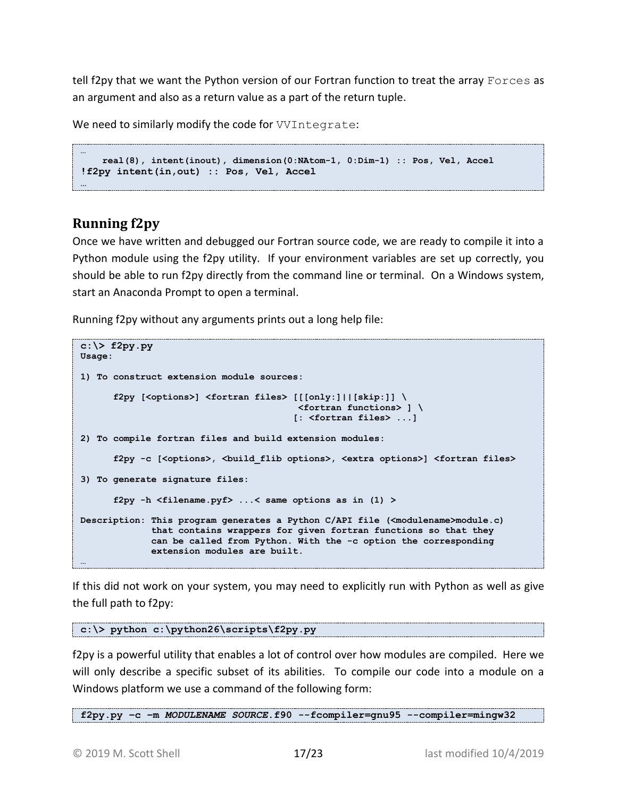tell f2py that we want the Python version of our Fortran function to treat the array Forces as an argument and also as a return value as a part of the return tuple.

We need to similarly modify the code for *VVIntegrate*:

```
…
    real(8), intent(inout), dimension(0:NAtom-1, 0:Dim-1) :: Pos, Vel, Accel
!f2py intent(in,out) :: Pos, Vel, Accel
…
```
# <span id="page-16-0"></span>**Running f2py**

Once we have written and debugged our Fortran source code, we are ready to compile it into a Python module using the f2py utility. If your environment variables are set up correctly, you should be able to run f2py directly from the command line or terminal. On a Windows system, start an Anaconda Prompt to open a terminal.

Running f2py without any arguments prints out a long help file:

```
c:\> f2py.py
Usage:
1) To construct extension module sources:
       f2py [<options>] <fortran files> [[[only:]||[skip:]] \
                                         <fortran functions> ] \
                                         [: <fortran files> ...]
2) To compile fortran files and build extension modules:
       f2py -c [<options>, <build_flib options>, <extra options>] <fortran files>
3) To generate signature files:
       f2py -h <filename.pyf> ...< same options as in (1) >
Description: This program generates a Python C/API file (<modulename>module.c)
              that contains wrappers for given fortran functions so that they
              can be called from Python. With the -c option the corresponding
              extension modules are built. 
…
```
If this did not work on your system, you may need to explicitly run with Python as well as give the full path to f2py:

**c:\> python c:\python26\scripts\f2py.py**

f2py is a powerful utility that enables a lot of control over how modules are compiled. Here we will only describe a specific subset of its abilities. To compile our code into a module on a Windows platform we use a command of the following form:

**f2py.py –c –m** *MODULENAME SOURCE***.f90 --fcompiler=gnu95 --compiler=mingw32**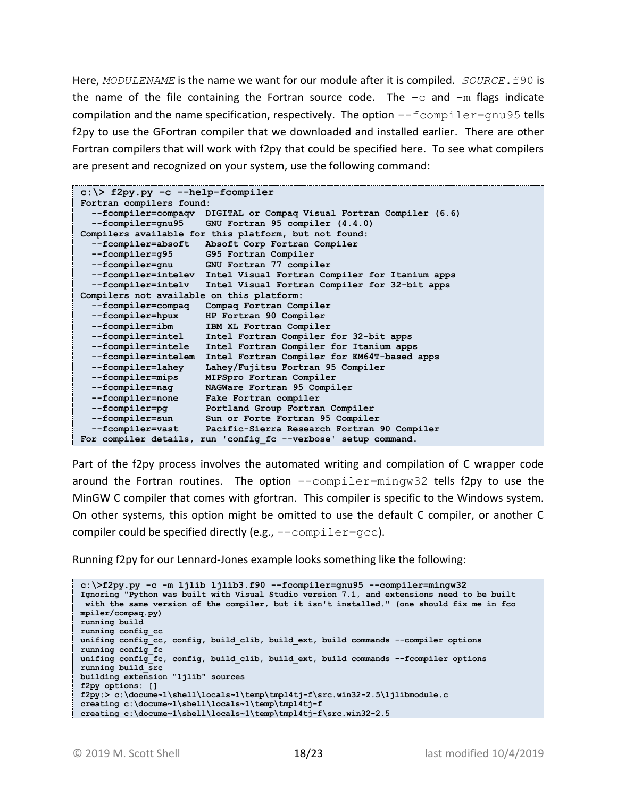Here, *MODULENAME* is the name we want for our module after it is compiled. *SOURCE*.f90 is the name of the file containing the Fortran source code. The  $-c$  and  $-m$  flags indicate compilation and the name specification, respectively. The option  $-\text{fcompile}$ f2py to use the GFortran compiler that we downloaded and installed earlier. There are other Fortran compilers that will work with f2py that could be specified here. To see what compilers are present and recognized on your system, use the following command:

| $c:\$ f2py.py -c --help-fcompiler                     |                                                                     |  |  |
|-------------------------------------------------------|---------------------------------------------------------------------|--|--|
| Fortran compilers found:                              |                                                                     |  |  |
|                                                       | --fcompiler=compaqv DIGITAL or Compaq Visual Fortran Compiler (6.6) |  |  |
| --fcompiler=gnu95                                     | GNU Fortran 95 compiler (4.4.0)                                     |  |  |
| Compilers available for this platform, but not found: |                                                                     |  |  |
|                                                       | --fcompiler=absoft Absoft Corp Fortran Compiler                     |  |  |
| --fcompiler=g95                                       | G95 Fortran Compiler                                                |  |  |
| --fcompiler=gnu                                       | GNU Fortran 77 compiler                                             |  |  |
|                                                       | --fcompiler=intelev Intel Visual Fortran Compiler for Itanium apps  |  |  |
| --fcompiler=intelv                                    | Intel Visual Fortran Compiler for 32-bit apps                       |  |  |
| Compilers not available on this platform:             |                                                                     |  |  |
| --fcompiler=compaq                                    | Compaq Fortran Compiler                                             |  |  |
| --fcompiler=hpux                                      | HP Fortran 90 Compiler                                              |  |  |
| --fcompiler=ibm                                       | IBM XL Fortran Compiler                                             |  |  |
| --fcompiler=intel                                     | Intel Fortran Compiler for 32-bit apps                              |  |  |
| --fcompiler=intele                                    | Intel Fortran Compiler for Itanium apps                             |  |  |
| --fcompiler=intelem                                   | Intel Fortran Compiler for EM64T-based apps                         |  |  |
| --fcompiler=lahey                                     | Lahey/Fujitsu Fortran 95 Compiler                                   |  |  |
| --fcompiler=mips                                      | MIPSpro Fortran Compiler                                            |  |  |
| --fcompiler=nag                                       | NAGWare Fortran 95 Compiler                                         |  |  |
| --fcompiler=none                                      | Fake Fortran compiler                                               |  |  |
| --fcompiler=pq                                        | Portland Group Fortran Compiler                                     |  |  |
| --fcompiler=sun                                       | Sun or Forte Fortran 95 Compiler                                    |  |  |
| --fcompiler=vast                                      | Pacific-Sierra Research Fortran 90 Compiler                         |  |  |
|                                                       | For compiler details, run 'config fc --verbose' setup command.      |  |  |

Part of the f2py process involves the automated writing and compilation of C wrapper code around the Fortran routines. The option --compiler=mingw32 tells f2py to use the MinGW C compiler that comes with gfortran. This compiler is specific to the Windows system. On other systems, this option might be omitted to use the default C compiler, or another C compiler could be specified directly (e.g.,  $--$ compiler=gcc).

Running f2py for our Lennard-Jones example looks something like the following:

```
c:\>f2py.py -c -m ljlib ljlib3.f90 --fcompiler=gnu95 --compiler=mingw32
Ignoring "Python was built with Visual Studio version 7.1, and extensions need to be built
 with the same version of the compiler, but it isn't installed." (one should fix me in fco
mpiler/compaq.py)
running build
running config_cc
unifing config_cc, config, build_clib, build_ext, build commands --compiler options
running config_fc
unifing config_fc, config, build_clib, build_ext, build commands --fcompiler options
running build_src
building extension "ljlib" sources
f2py options: []
f2py:> c:\docume~1\shell\locals~1\temp\tmpl4tj-f\src.win32-2.5\ljlibmodule.c
creating c:\docume~1\shell\locals~1\temp\tmpl4tj-f
creating c:\docume~1\shell\locals~1\temp\tmpl4tj-f\src.win32-2.5
```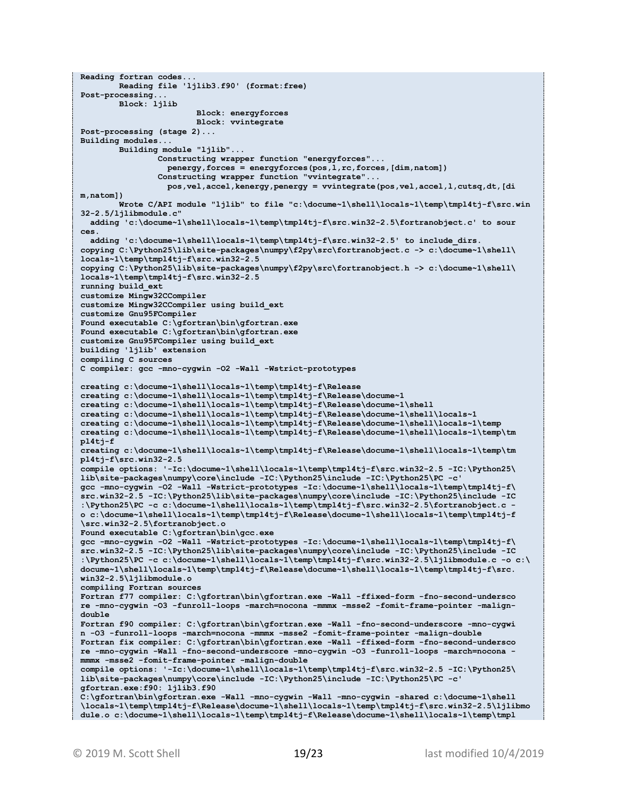```
Reading fortran codes...
         Reading file 'ljlib3.f90' (format:free)
Post-processing...
         Block: ljlib
                         Block: energyforces
                        Block: vvintegrate
Post-processing (stage 2)...
Building modules...
         Building module "ljlib"...
                 Constructing wrapper function "energyforces"...
                   penergy,forces = energyforces(pos,l,rc,forces,[dim,natom])
                 Constructing wrapper function "vvintegrate"...
                   pos,vel,accel,kenergy,penergy = vvintegrate(pos,vel,accel,l,cutsq,dt,[di
m,natom])
         Wrote C/API module "ljlib" to file "c:\docume~1\shell\locals~1\temp\tmpl4tj-f\src.win
32-2.5/ljlibmodule.c"
   adding 'c:\docume~1\shell\locals~1\temp\tmpl4tj-f\src.win32-2.5\fortranobject.c' to sour
ces.
   adding 'c:\docume~1\shell\locals~1\temp\tmpl4tj-f\src.win32-2.5' to include_dirs.
copying C:\Python25\lib\site-packages\numpy\f2py\src\fortranobject.c -> c:\docume~1\shell\
locals~1\temp\tmpl4tj-f\src.win32-2.5
copying C:\Python25\lib\site-packages\numpy\f2py\src\fortranobject.h -> c:\docume~1\shell\
locals~1\temp\tmpl4tj-f\src.win32-2.5
running build_ext
customize Mingw32CCompiler
customize Mingw32CCompiler using build_ext
customize Gnu95FCompiler
Found executable C:\gfortran\bin\gfortran.exe
Found executable C:\gfortran\bin\gfortran.exe
customize Gnu95FCompiler using build_ext
building 'ljlib' extension
compiling C sources
C compiler: gcc -mno-cygwin -O2 -Wall -Wstrict-prototypes
creating c:\docume~1\shell\locals~1\temp\tmpl4tj-f\Release
creating c:\docume~1\shell\locals~1\temp\tmpl4tj-f\Release\docume~1
creating c:\docume~1\shell\locals~1\temp\tmpl4tj-f\Release\docume~1\shell
creating c:\docume~1\shell\locals~1\temp\tmpl4tj-f\Release\docume~1\shell\locals~1
creating c:\docume~1\shell\locals~1\temp\tmpl4tj-f\Release\docume~1\shell\locals~1\temp
creating c:\docume~1\shell\locals~1\temp\tmpl4tj-f\Release\docume~1\shell\locals~1\temp\tm
pl4tj-f
creating c:\docume~1\shell\locals~1\temp\tmpl4tj-f\Release\docume~1\shell\locals~1\temp\tm
pl4tj-f\src.win32-2.5
compile options: '-Ic:\docume~1\shell\locals~1\temp\tmpl4tj-f\src.win32-2.5 -IC:\Python25\
lib\site-packages\numpy\core\include -IC:\Python25\include -IC:\Python25\PC -c'
gcc -mno-cygwin -O2 -Wall -Wstrict-prototypes -Ic:\docume~1\shell\locals~1\temp\tmpl4tj-f\
src.win32-2.5 -IC:\Python25\lib\site-packages\numpy\core\include -IC:\Python25\include -IC
:\Python25\PC -c c:\docume~1\shell\locals~1\temp\tmpl4tj-f\src.win32-2.5\fortranobject.c -
o c:\docume~1\shell\locals~1\temp\tmpl4tj-f\Release\docume~1\shell\locals~1\temp\tmpl4tj-f
\src.win32-2.5\fortranobject.o
Found executable C:\gfortran\bin\gcc.exe
gcc -mno-cygwin -O2 -Wall -Wstrict-prototypes -Ic:\docume~1\shell\locals~1\temp\tmpl4tj-f\
src.win32-2.5 -IC:\Python25\lib\site-packages\numpy\core\include -IC:\Python25\include -IC
:\Python25\PC -c c:\docume~1\shell\locals~1\temp\tmpl4tj-f\src.win32-2.5\ljlibmodule.c -o c:\
docume~1\shell\locals~1\temp\tmpl4tj-f\Release\docume~1\shell\locals~1\temp\tmpl4tj-f\src.
win32-2.5\ljlibmodule.o
compiling Fortran sources
Fortran f77 compiler: C:\gfortran\bin\gfortran.exe -Wall -ffixed-form -fno-second-undersco
re -mno-cygwin -O3 -funroll-loops -march=nocona -mmmx -msse2 -fomit-frame-pointer -malign-
double
Fortran f90 compiler: C:\gfortran\bin\gfortran.exe -Wall -fno-second-underscore -mno-cygwi
n -O3 -funroll-loops -march=nocona -mmmx -msse2 -fomit-frame-pointer -malign-double
Fortran fix compiler: C:\gfortran\bin\gfortran.exe -Wall -ffixed-form -fno-second-undersco
re -mno-cygwin -Wall -fno-second-underscore -mno-cygwin -O3 -funroll-loops -march=nocona -
mmmx -msse2 -fomit-frame-pointer -malign-double
compile options: '-Ic:\docume~1\shell\locals~1\temp\tmpl4tj-f\src.win32-2.5 -IC:\Python25\
lib\site-packages\numpy\core\include -IC:\Python25\include -IC:\Python25\PC -c'
gfortran.exe:f90: ljlib3.f90
C:\gfortran\bin\gfortran.exe -Wall -mno-cygwin -Wall -mno-cygwin -shared c:\docume~1\shell
\locals~1\temp\tmpl4tj-f\Release\docume~1\shell\locals~1\temp\tmpl4tj-f\src.win32-2.5\ljlibmo
dule.o c:\docume~1\shell\locals~1\temp\tmpl4tj-f\Release\docume~1\shell\locals~1\temp\tmpl
```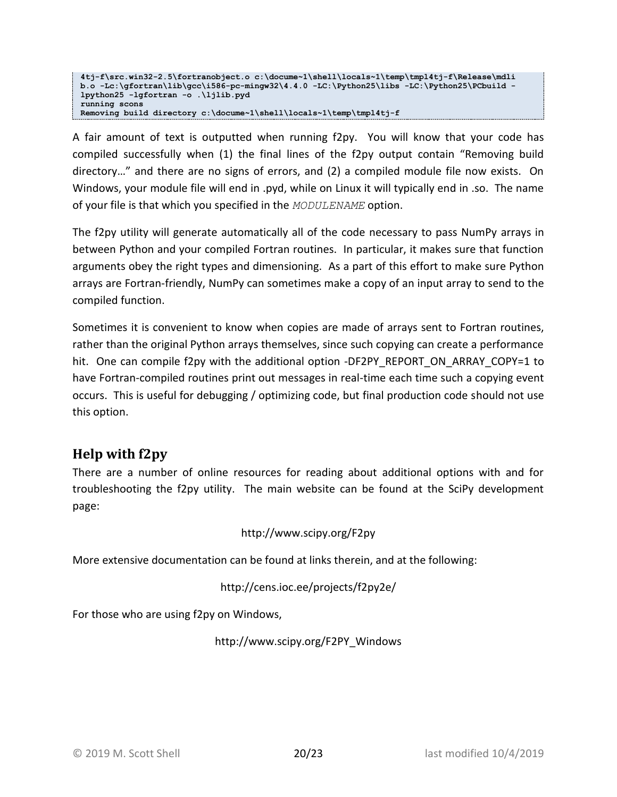```
4tj-f\src.win32-2.5\fortranobject.o c:\docume~1\shell\locals~1\temp\tmpl4tj-f\Release\mdli
b.o -Lc:\gfortran\lib\gcc\i586-pc-mingw32\4.4.0 -LC:\Python25\libs -LC:\Python25\PCbuild -
lpython25 -lgfortran -o .\ljlib.pyd
running scons
Removing build directory c:\docume~1\shell\locals~1\temp\tmpl4tj-f
```
A fair amount of text is outputted when running f2py. You will know that your code has compiled successfully when (1) the final lines of the f2py output contain "Removing build directory…" and there are no signs of errors, and (2) a compiled module file now exists. On Windows, your module file will end in .pyd, while on Linux it will typically end in .so. The name of your file is that which you specified in the *MODULENAME* option.

The f2py utility will generate automatically all of the code necessary to pass NumPy arrays in between Python and your compiled Fortran routines. In particular, it makes sure that function arguments obey the right types and dimensioning. As a part of this effort to make sure Python arrays are Fortran-friendly, NumPy can sometimes make a copy of an input array to send to the compiled function.

Sometimes it is convenient to know when copies are made of arrays sent to Fortran routines, rather than the original Python arrays themselves, since such copying can create a performance hit. One can compile f2py with the additional option -DF2PY\_REPORT\_ON\_ARRAY\_COPY=1 to have Fortran-compiled routines print out messages in real-time each time such a copying event occurs. This is useful for debugging / optimizing code, but final production code should not use this option.

# <span id="page-19-0"></span>**Help with f2py**

There are a number of online resources for reading about additional options with and for troubleshooting the f2py utility. The main website can be found at the SciPy development page:

#### http://www.scipy.org/F2py

More extensive documentation can be found at links therein, and at the following:

#### http://cens.ioc.ee/projects/f2py2e/

For those who are using f2py on Windows,

http://www.scipy.org/F2PY\_Windows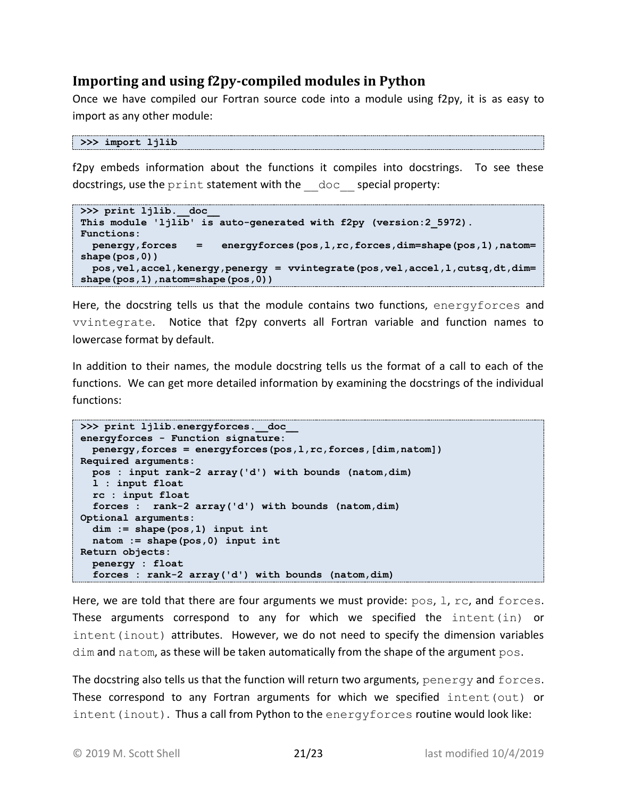## <span id="page-20-0"></span>**Importing and using f2py-compiled modules in Python**

Once we have compiled our Fortran source code into a module using f2py, it is as easy to import as any other module:

```
>>> import ljlib
```
f2py embeds information about the functions it compiles into docstrings. To see these docstrings, use the print statement with the doc special property:

```
>>> print ljlib. doc
This module 'ljlib' is auto-generated with f2py (version:2_5972).
Functions:
  penergy,forces = energyforces(pos,l,rc,forces,dim=shape(pos,1),natom=
shape(pos,0))
  pos,vel,accel,kenergy,penergy = vvintegrate(pos,vel,accel,l,cutsq,dt,dim=
shape(pos, 1), natom=shape(pos, 0))
```
Here, the docstring tells us that the module contains two functions, energyforces and vvintegrate. Notice that f2py converts all Fortran variable and function names to lowercase format by default.

In addition to their names, the module docstring tells us the format of a call to each of the functions. We can get more detailed information by examining the docstrings of the individual functions:

```
>>> print ljlib.energyforces. doc
energyforces - Function signature:
  penergy,forces = energyforces(pos,l,rc,forces,[dim,natom])
Required arguments:
  pos : input rank-2 array('d') with bounds (natom,dim)
  l : input float
  rc : input float
  forces : rank-2 array('d') with bounds (natom,dim)
Optional arguments:
  dim := shape(pos,1) input int
  natom := shape(pos,0) input int
Return objects:
  penergy : float
   forces : rank-2 array('d') with bounds (natom,dim)
```
Here, we are told that there are four arguments we must provide: pos, 1, rc, and forces. These arguments correspond to any for which we specified the  $int(\infty)$  or intent(inout) attributes. However, we do not need to specify the dimension variables dim and natom, as these will be taken automatically from the shape of the argument pos.

The docstring also tells us that the function will return two arguments, penergy and forces. These correspond to any Fortran arguments for which we specified intent (out) or  $intent$  (inout). Thus a call from Python to the energyforces routine would look like: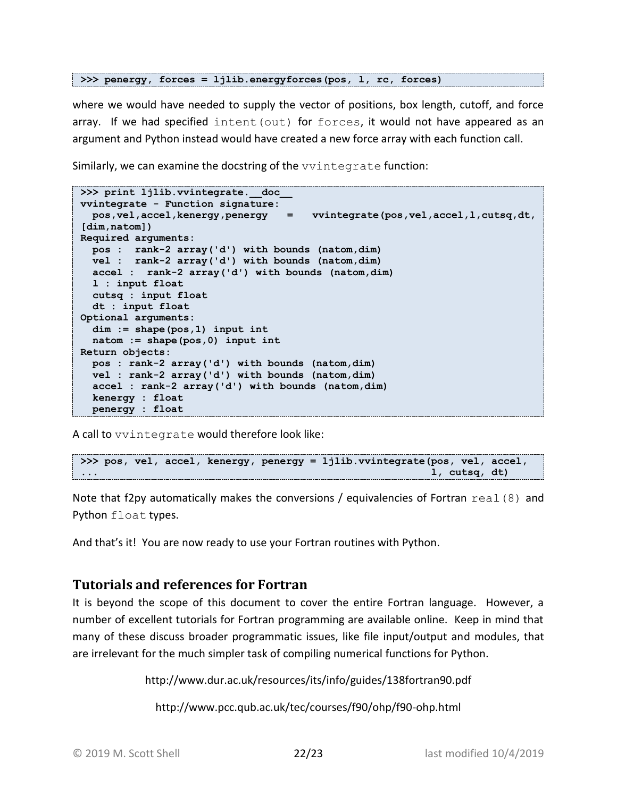```
>>> penergy, forces = ljlib.energyforces(pos, l, rc, forces)
```
where we would have needed to supply the vector of positions, box length, cutoff, and force array. If we had specified intent (out) for forces, it would not have appeared as an argument and Python instead would have created a new force array with each function call.

Similarly, we can examine the docstring of the vvintegrate function:

```
>>> print ljlib.vvintegrate. doc
vvintegrate - Function signature:
   pos,vel,accel,kenergy,penergy = vvintegrate(pos,vel,accel,l,cutsq,dt, 
[dim,natom])
Required arguments:
   pos : rank-2 array('d') with bounds (natom,dim)
  vel : rank-2 array('d') with bounds (natom,dim)
  accel : rank-2 array('d') with bounds (natom,dim)
  l : input float
  cutsq : input float
  dt : input float
Optional arguments:
   dim := shape(pos,1) input int
   natom := shape(pos,0) input int
Return objects:
  pos : rank-2 array('d') with bounds (natom,dim)
  vel : rank-2 array('d') with bounds (natom,dim)
   accel : rank-2 array('d') with bounds (natom,dim)
   kenergy : float
   penergy : float
```
A call to vvintegrate would therefore look like:

```
>>> pos, vel, accel, kenergy, penergy = ljlib.vvintegrate(pos, vel, accel,
... 1, cutsq, dt)
```
Note that f2py automatically makes the conversions / equivalencies of Fortran  $real(8)$  and Python float types.

And that's it! You are now ready to use your Fortran routines with Python.

# <span id="page-21-0"></span>**Tutorials and references for Fortran**

It is beyond the scope of this document to cover the entire Fortran language. However, a number of excellent tutorials for Fortran programming are available online. Keep in mind that many of these discuss broader programmatic issues, like file input/output and modules, that are irrelevant for the much simpler task of compiling numerical functions for Python.

http://www.dur.ac.uk/resources/its/info/guides/138fortran90.pdf

http://www.pcc.qub.ac.uk/tec/courses/f90/ohp/f90-ohp.html